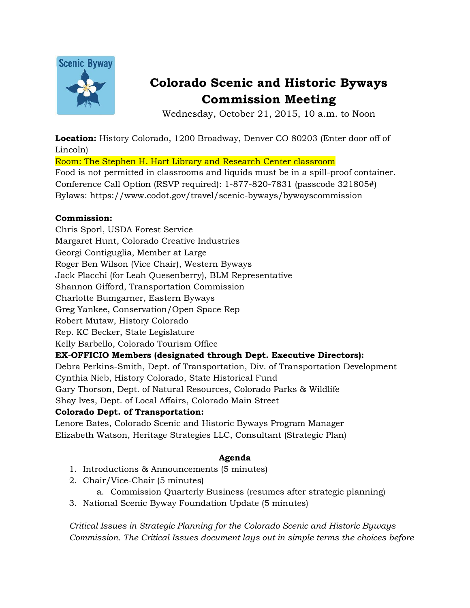

# **Colorado Scenic and Historic Byways Commission Meeting**

Wednesday, October 21, 2015, 10 a.m. to Noon

**Location:** History Colorado, 1200 Broadway, Denver CO 80203 (Enter door off of Lincoln) Room: The Stephen H. Hart Library and Research Center classroom

Food is not permitted in classrooms and liquids must be in a spill-proof container. Conference Call Option (RSVP required): 1-877-820-7831 (passcode 321805#) Bylaws: https://www.codot.gov/travel/scenic-byways/bywayscommission

## **Commission:**

Chris Sporl, USDA Forest Service

Margaret Hunt, Colorado Creative Industries

Georgi Contiguglia, Member at Large

Roger Ben Wilson (Vice Chair), Western Byways

Jack Placchi (for Leah Quesenberry), BLM Representative

Shannon Gifford, Transportation Commission

Charlotte Bumgarner, Eastern Byways

Greg Yankee, Conservation/Open Space Rep

Robert Mutaw, History Colorado

Rep. KC Becker, State Legislature

Kelly Barbello, Colorado Tourism Office

## **EX-OFFICIO Members (designated through Dept. Executive Directors):**

Debra Perkins-Smith, Dept. of Transportation, Div. of Transportation Development Cynthia Nieb, History Colorado, State Historical Fund

Gary Thorson, Dept. of Natural Resources, Colorado Parks & Wildlife

Shay Ives, Dept. of Local Affairs, Colorado Main Street

## **Colorado Dept. of Transportation:**

Lenore Bates, Colorado Scenic and Historic Byways Program Manager Elizabeth Watson, Heritage Strategies LLC, Consultant (Strategic Plan)

# **Agenda**

- 1. Introductions & Announcements (5 minutes)
- 2. Chair/Vice-Chair (5 minutes)
	- a. Commission Quarterly Business (resumes after strategic planning)
- 3. National Scenic Byway Foundation Update (5 minutes)

*Critical Issues in Strategic Planning for the Colorado Scenic and Historic Byways Commission. The Critical Issues document lays out in simple terms the choices before*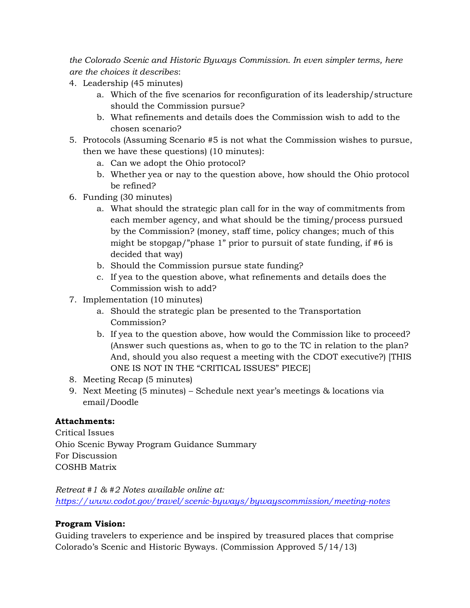*the Colorado Scenic and Historic Byways Commission. In even simpler terms, here are the choices it describes*:

- 4. Leadership (45 minutes)
	- a. Which of the five scenarios for reconfiguration of its leadership/structure should the Commission pursue?
	- b. What refinements and details does the Commission wish to add to the chosen scenario?
- 5. Protocols (Assuming Scenario #5 is not what the Commission wishes to pursue, then we have these questions) (10 minutes):
	- a. Can we adopt the Ohio protocol?
	- b. Whether yea or nay to the question above, how should the Ohio protocol be refined?
- 6. Funding (30 minutes)
	- a. What should the strategic plan call for in the way of commitments from each member agency, and what should be the timing/process pursued by the Commission? (money, staff time, policy changes; much of this might be stopgap/"phase 1" prior to pursuit of state funding, if #6 is decided that way)
	- b. Should the Commission pursue state funding?
	- c. If yea to the question above, what refinements and details does the Commission wish to add?
- 7. Implementation (10 minutes)
	- a. Should the strategic plan be presented to the Transportation Commission?
	- b. If yea to the question above, how would the Commission like to proceed? (Answer such questions as, when to go to the TC in relation to the plan? And, should you also request a meeting with the CDOT executive?) [THIS ONE IS NOT IN THE "CRITICAL ISSUES" PIECE]
- 8. Meeting Recap (5 minutes)
- 9. Next Meeting (5 minutes) Schedule next year's meetings & locations via email/Doodle

# **Attachments:**

Critical Issues Ohio Scenic Byway Program Guidance Summary For Discussion COSHB Matrix

*Retreat #1 & #2 Notes available online at: <https://www.codot.gov/travel/scenic-byways/bywayscommission/meeting-notes>*

# **Program Vision:**

Guiding travelers to experience and be inspired by treasured places that comprise Colorado's Scenic and Historic Byways. (Commission Approved 5/14/13)